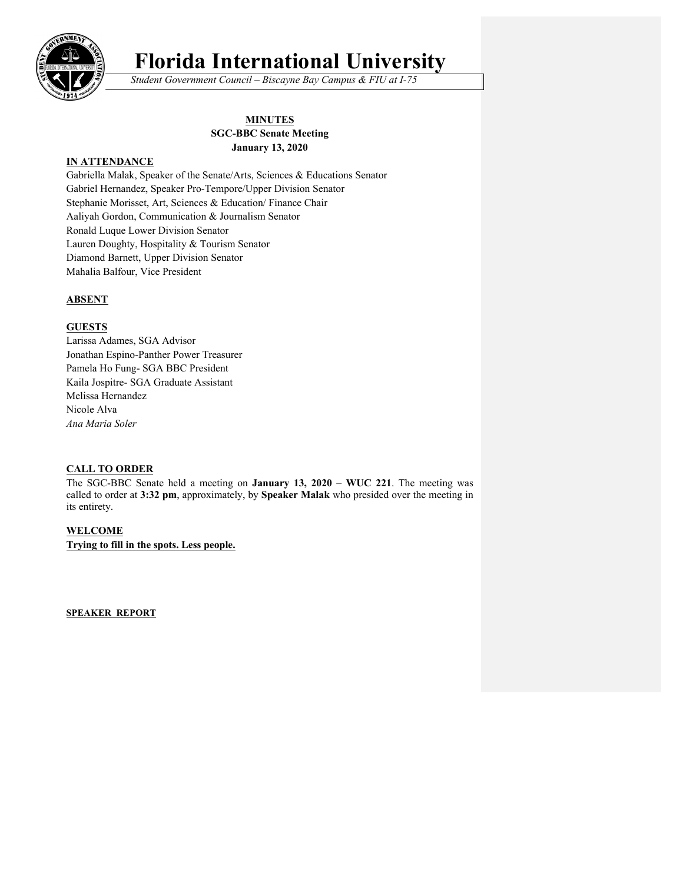

# **Florida International University**

*Student Government Council – Biscayne Bay Campus & FIU at I-75*

# **MINUTES SGC-BBC Senate Meeting January 13, 2020**

# **IN ATTENDANCE**

Gabriella Malak, Speaker of the Senate/Arts, Sciences & Educations Senator Gabriel Hernandez, Speaker Pro-Tempore/Upper Division Senator Stephanie Morisset, Art, Sciences & Education/ Finance Chair Aaliyah Gordon, Communication & Journalism Senator Ronald Luque Lower Division Senator Lauren Doughty, Hospitality & Tourism Senator Diamond Barnett, Upper Division Senator Mahalia Balfour, Vice President

# **ABSENT**

#### **GUESTS**

Larissa Adames, SGA Advisor Jonathan Espino-Panther Power Treasurer Pamela Ho Fung- SGA BBC President Kaila Jospitre- SGA Graduate Assistant Melissa Hernandez Nicole Alva *Ana Maria Soler*

#### **CALL TO ORDER**

The SGC-BBC Senate held a meeting on **January 13, 2020** – **WUC 221**. The meeting was called to order at **3:32 pm**, approximately, by **Speaker Malak** who presided over the meeting in its entirety.

# **WELCOME**

**Trying to fill in the spots. Less people.**

**SPEAKER REPORT**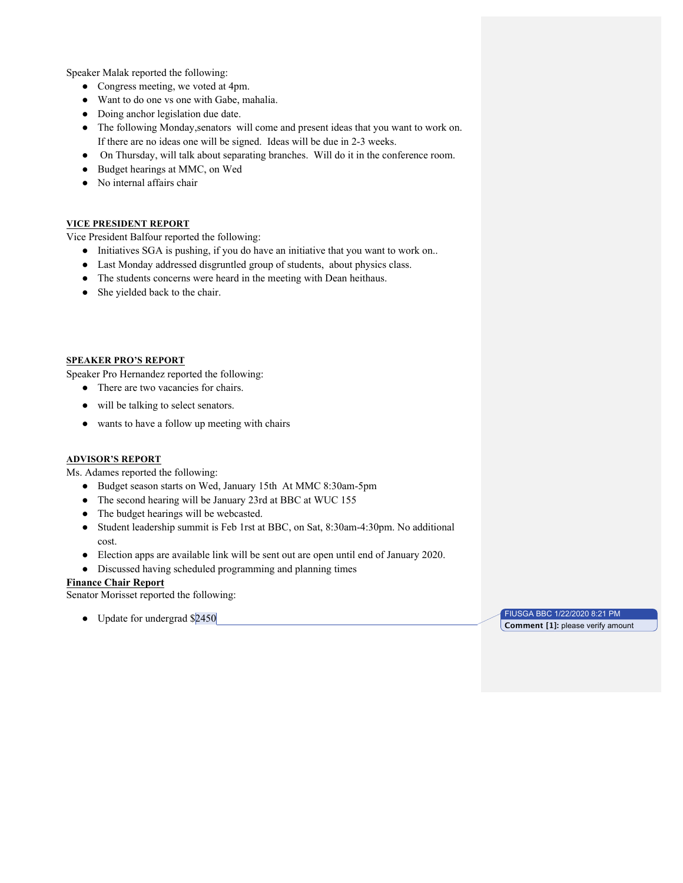Speaker Malak reported the following:

- Congress meeting, we voted at 4pm.
- Want to do one vs one with Gabe, mahalia.
- Doing anchor legislation due date.
- The following Monday,senators will come and present ideas that you want to work on. If there are no ideas one will be signed. Ideas will be due in 2-3 weeks.
- On Thursday, will talk about separating branches. Will do it in the conference room.
- Budget hearings at MMC, on Wed
- No internal affairs chair

#### **VICE PRESIDENT REPORT**

Vice President Balfour reported the following:

- Initiatives SGA is pushing, if you do have an initiative that you want to work on..
- Last Monday addressed disgruntled group of students, about physics class.
- The students concerns were heard in the meeting with Dean heithaus.
- She yielded back to the chair.

#### **SPEAKER PRO'S REPORT**

Speaker Pro Hernandez reported the following:

- There are two vacancies for chairs.
- will be talking to select senators.
- wants to have a follow up meeting with chairs

#### **ADVISOR'S REPORT**

Ms. Adames reported the following:

- Budget season starts on Wed, January 15th At MMC 8:30am-5pm
- The second hearing will be January 23rd at BBC at WUC 155
- The budget hearings will be webcasted.
- Student leadership summit is Feb 1rst at BBC, on Sat, 8:30am-4:30pm. No additional cost.
- Election apps are available link will be sent out are open until end of January 2020.
- Discussed having scheduled programming and planning times

#### **Finance Chair Report**

Senator Morisset reported the following:

• Update for undergrad \$2450 FIUSGA BBC 1/22/2020 8:21 PM

**Comment [1]:** please verify amount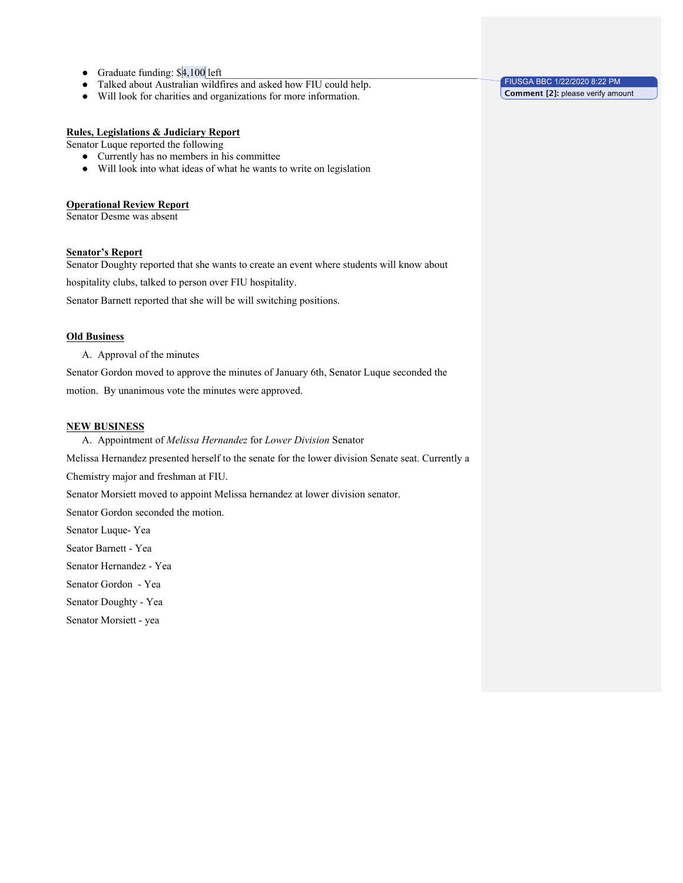- Graduate funding: \$4,100 left
- Talked about Australian wildfires and asked how FIU could help.
- Will look for charities and organizations for more information.

#### **Rules, Legislations & Judiciary Report**

Senator Luque reported the following

- Currently has no members in his committee
- Will look into what ideas of what he wants to write on legislation

#### **Operational Review Report**

Senator Desme was absent

#### **Senator's Report**

Senator Doughty reported that she wants to create an event where students will know about

hospitality clubs, talked to person over FIU hospitality.

Senator Barnett reported that she will be will switching positions.

# **Old Business**

A. Approval of the minutes

Senator Gordon moved to approve the minutes of January 6th, Senator Luque seconded the motion. By unanimous vote the minutes were approved.

#### **NEW BUSINESS**

A. Appointment of *Melissa Hernandez* for *Lower Division* Senator

Melissa Hernandez presented herself to the senate for the lower division Senate seat. Currently a

Chemistry major and freshman at FIU.

Senator Morsiett moved to appoint Melissa hernandez at lower division senator.

Senator Gordon seconded the motion.

Senator Luque- Yea

Seator Barnett - Yea

Senator Hernandez - Yea

Senator Gordon - Yea

Senator Doughty - Yea

Senator Morsiett - yea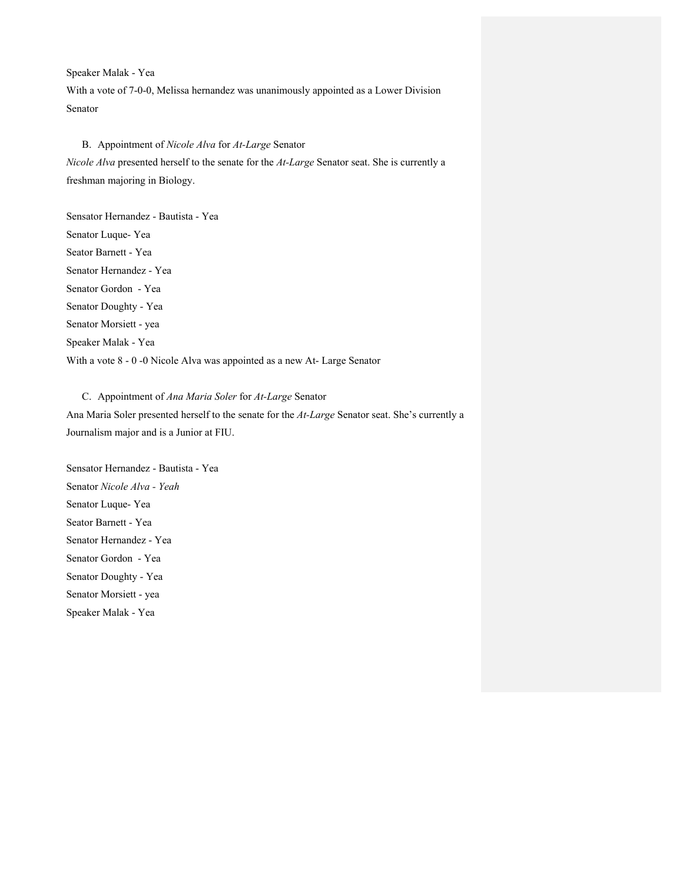Speaker Malak - Yea With a vote of 7-0-0, Melissa hernandez was unanimously appointed as a Lower Division Senator

# B. Appointment of *Nicole Alva* for *At-Large* Senator *Nicole Alva* presented herself to the senate for the *At-Large* Senator seat. She is currently a freshman majoring in Biology.

Sensator Hernandez - Bautista - Yea Senator Luque- Yea Seator Barnett - Yea Senator Hernandez - Yea Senator Gordon - Yea Senator Doughty - Yea Senator Morsiett - yea Speaker Malak - Yea With a vote 8 - 0 -0 Nicole Alva was appointed as a new At- Large Senator

#### C. Appointment of *Ana Maria Soler* for *At-Large* Senator

Ana Maria Soler presented herself to the senate for the *At-Large* Senator seat. She's currently a Journalism major and is a Junior at FIU.

Sensator Hernandez - Bautista - Yea Senator *Nicole Alva - Yeah* Senator Luque- Yea Seator Barnett - Yea Senator Hernandez - Yea Senator Gordon - Yea Senator Doughty - Yea Senator Morsiett - yea Speaker Malak - Yea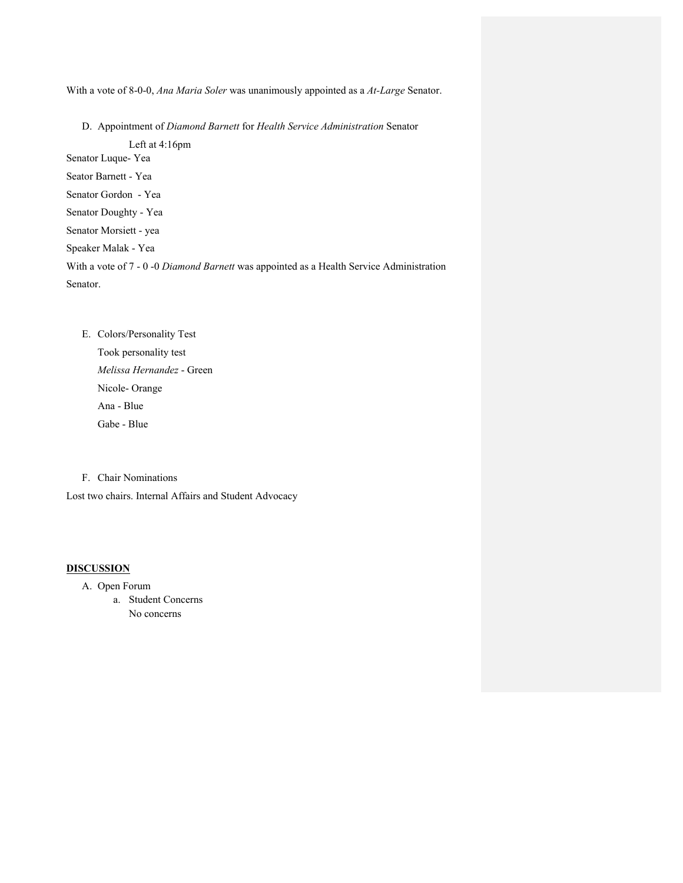With a vote of 8-0-0, *Ana Maria Soler* was unanimously appointed as a *At-Large* Senator.

D. Appointment of *Diamond Barnett* for *Health Service Administration* Senator

Left at 4:16pm

Senator Luque- Yea

Seator Barnett - Yea Senator Gordon - Yea

Senator Doughty - Yea

Senator Morsiett - yea

Speaker Malak - Yea

With a vote of 7 - 0 -0 *Diamond Barnett* was appointed as a Health Service Administration Senator.

E. Colors/Personality Test Took personality test *Melissa Hernandez* - Green Nicole- Orange Ana - Blue Gabe - Blue

F. Chair Nominations

Lost two chairs. Internal Affairs and Student Advocacy

#### **DISCUSSION**

- A. Open Forum
	- a. Student Concerns No concerns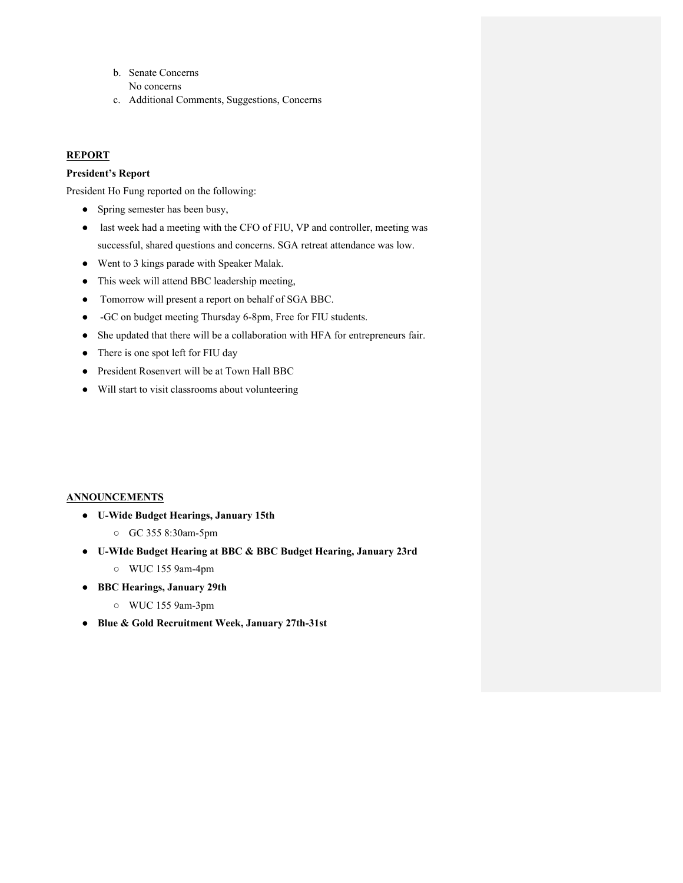- b. Senate Concerns No concerns
- c. Additional Comments, Suggestions, Concerns

# **REPORT**

# **President's Report**

President Ho Fung reported on the following:

- Spring semester has been busy,
- last week had a meeting with the CFO of FIU, VP and controller, meeting was successful, shared questions and concerns. SGA retreat attendance was low.
- Went to 3 kings parade with Speaker Malak.
- This week will attend BBC leadership meeting,
- Tomorrow will present a report on behalf of SGA BBC.
- -GC on budget meeting Thursday 6-8pm, Free for FIU students.
- She updated that there will be a collaboration with HFA for entrepreneurs fair.
- There is one spot left for FIU day
- President Rosenvert will be at Town Hall BBC
- Will start to visit classrooms about volunteering

# **ANNOUNCEMENTS**

- **U-Wide Budget Hearings, January 15th** 
	- GC 355 8:30am-5pm
- **U-WIde Budget Hearing at BBC & BBC Budget Hearing, January 23rd**
	- WUC 155 9am-4pm
- **BBC Hearings, January 29th**
	- WUC 155 9am-3pm
- **Blue & Gold Recruitment Week, January 27th-31st**